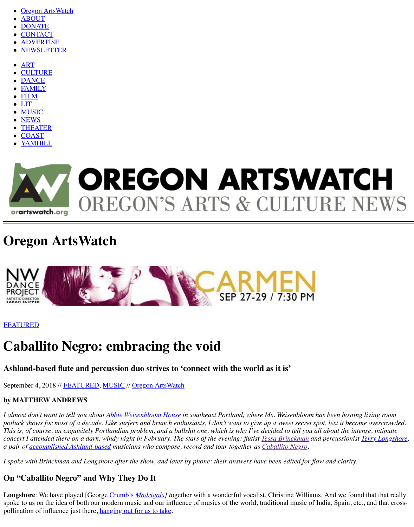- **[Oregon ArtsWatch](http://www.orartswatch.org/)**
- [ABOUT](http://www.orartswatch.org/about/)
- [DONATE](http://www.orartswatch.org/membership/)
- **[CONTACT](http://www.orartswatch.org/contact/)**
- [ADVERTISE](http://www.orartswatch.org/advertise-on-artswatch-2/)
- [NEWSLETTER](http://www.orartswatch.org/newsletter/)
- [ART](http://www.orartswatch.org/category/visual-art/)
- **[CULTURE](http://www.orartswatch.org/category/culture/)**
- **[DANCE](http://www.orartswatch.org/category/dance/)**
- [FAMILY](http://www.orartswatch.org/category/family/)
- [FILM](http://www.orartswatch.org/category/film/)
- [LIT](http://www.orartswatch.org/category/language-arts/)
- [MUSIC](http://www.orartswatch.org/category/music/) [NEWS](http://www.orartswatch.org/category/news-notes/)
- [THEATER](http://www.orartswatch.org/category/theater/)
- [COAST](http://www.orartswatch.org/category/coast/)
- [YAMHILL](http://www.orartswatch.org/category/yamhill/)



# **Oregon ArtsWatch**



## [FEATURED](http://www.orartswatch.org/category/featured/)

# **Caballito Negro: embracing the void**

**Ashland-based flute and percussion duo strives to 'connect with the world as it is'**

September 4, 2018 // [FEATURED](http://www.orartswatch.org/category/featured/), [MUSIC](http://www.orartswatch.org/category/music/) // [Oregon ArtsWatch](http://www.orartswatch.org/author/admin/)

#### **by MATTHEW ANDREWS**

*I almost don't want to tell you about [Abbie Weisenbloom House](https://froggie.com/) in southeast Portland, where Ms. Weisenbloom has been hosting living room potluck shows for most of a decade. Like surfers and brunch enthusiasts, I don't want to give up a sweet secret spot, lest it become overcrowded. This is, of course, an exquisitely Portlandian problem, and a bullshit one, which is why I've decided to tell you all about the intense, intimate concert I attended there on a dark, windy night in February. The stars of the evening: flutist [Tessa Brinckman](https://www.tessabrinckman.com/) and percussionist [Terry Longshore,](http://www.terrylongshore.com/) a pair of [accomplished Ashland-based](http://www.ashlandfilm.org/FilmDetails.asp?View=Film&FilmID=1478) musicians who compose, record and tour together as [Caballito Negro](https://caballitonegro.com/).*

*I spoke with Brinckman and Longshore after the show, and later by phone; their answers have been edited for flow and clarity.*

### **On "Caballito Negro" and Why They Do It**

**Longshore**: We have played [George Crumb's *[Madrigals\]](https://www.youtube.com/watch?v=pTZbRADSP8k)* together with a wonderful vocalist, Christine Williams. And we found that that really spoke to us on the idea of both our modern music and our influence of musics of the world, traditional music of India, Spain, etc., and that crosspollination of influence just there, [hanging out for us to take](http://www.suncitygirls.com/abduction/eyvind_kang.php).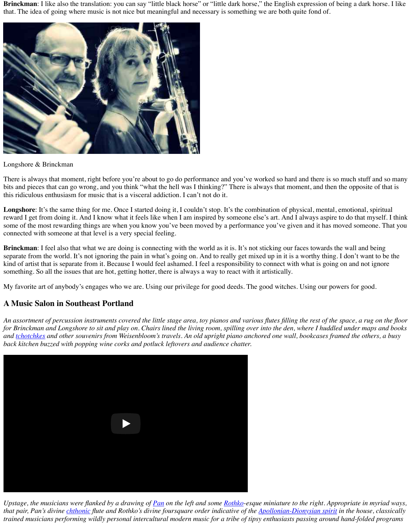**Brinckman**: I like also the translation: you can say "little black horse" or "little dark horse," the English expression of being a dark horse. I like that. The idea of going where music is not nice but meaningful and necessary is something we are both quite fond of.



#### Longshore & Brinckman

There is always that moment, right before you're about to go do performance and you've worked so hard and there is so much stuff and so many bits and pieces that can go wrong, and you think "what the hell was I thinking?" There is always that moment, and then the opposite of that is this ridiculous enthusiasm for music that is a visceral addiction. I can't not do it.

Longshore: It's the same thing for me. Once I started doing it, I couldn't stop. It's the combination of physical, mental, emotional, spiritual reward I get from doing it. And I know what it feels like when I am inspired by someone else's art. And I always aspire to do that myself. I think some of the most rewarding things are when you know you've been moved by a performance you've given and it has moved someone. That you connected with someone at that level is a very special feeling.

**Brinckman**: I feel also that what we are doing is connecting with the world as it is. It's not sticking our faces towards the wall and being separate from the world. It's not ignoring the pain in what's going on. And to really get mixed up in it is a worthy thing. I don't want to be the kind of artist that is separate from it. Because I would feel ashamed. I feel a responsibility to connect with what is going on and not ignore something. So all the issues that are hot, getting hotter, there is always a way to react with it artistically.

My favorite art of anybody's engages who we are. Using our privilege for good deeds. The good witches. Using our powers for good.

#### **A Music Salon in Southeast Portland**

*An assortment of percussion instruments covered the little stage area, toy pianos and various flutes filling the rest of the space, a rug on the floor for Brinckman and Longshore to sit and play on. Chairs lined the living room, spilling over into the den, where I huddled under maps and books and [tchotchkes](https://en.wikipedia.org/wiki/Tchotchke) and other souvenirs from Weisenbloom's travels. An old upright piano anchored one wall, bookcases framed the others, a busy back kitchen buzzed with popping wine corks and potluck leftovers and audience chatter.*



*Upstage, the musicians were flanked by a drawing of [Pan](https://en.wikipedia.org/wiki/Pan_(god)) on the left and some [Rothko](https://en.wikipedia.org/wiki/Mark_Rothko)-esque miniature to the right. Appropriate in myriad ways, that pair, Pan's divine chthonic* flute and Rothko's divine foursquare order indicative of the **Apollonian-Dionysian spirit** in the house, classically *trained musicians performing wildly personal intercultural modern music for a tribe of tipsy enthusiasts passing around hand-folded programs*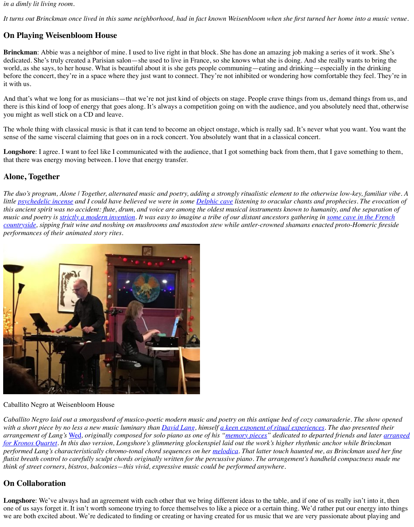#### *in a dimly lit living room.*

*It turns out Brinckman once lived in this same neighborhood, had in fact known Weisenbloom when she first turned her home into a music venue.*

## **On Playing Weisenbloom House**

**Brinckman**: Abbie was a neighbor of mine. I used to live right in that block. She has done an amazing job making a series of it work. She's dedicated. She's truly created a Parisian salon—she used to live in France, so she knows what she is doing. And she really wants to bring the world, as she says, to her house. What is beautiful about it is she gets people communing—eating and drinking—especially in the drinking before the concert, they're in a space where they just want to connect. They're not inhibited or wondering how comfortable they feel. They're in it with us.

Longshore: I agree. I want to feel like I communicated with the audience, that I got something back from them, that I gave something to them, that there was energy moving between. I love that energy transfer.

And that's what we long for as musicians—that we're not just kind of objects on stage. People crave things from us, demand things from us, and there is this kind of loop of energy that goes along. It's always a competition going on with the audience, and you absolutely need that, otherwise you might as well stick on a CD and leave.

The whole thing with classical music is that it can tend to become an object onstage, which is really sad. It's never what you want. You want the sense of the same visceral claiming that goes on in a rock concert. You absolutely want that in a classical concert.

### **Alone, Together**

*The duo's program, Alone | Together, alternated music and poetry, adding a strongly ritualistic element to the otherwise low-key, familiar vibe. A little [psychedelic incense](https://irrationalgeographic.wordpress.com/tag/oracle-at-delphi/) and I could have believed we were in some [Delphic cave](https://www.nytimes.com/2002/03/19/science/for-delphic-oracle-fumes-and-visions.html) listening to oracular chants and prophecies. The evocation of this ancient spirit was no accident: flute, drum, and voice are among the oldest musical instruments known to humanity, and the separation of [music and poetry is s](https://en.wikipedia.org/wiki/Lascaux)[trictly a modern invention](https://www.theguardian.com/books/2016/jun/07/cerys-matthews-poetry-and-music-closely-think)[. It was easy to imagine a tribe of our distant ancestors gathering in some cave in the French](https://en.wikipedia.org/wiki/Lascaux) countryside, sipping fruit wine and noshing on mushrooms and mastodon stew while antler-crowned shamans enacted proto-Homeric fireside performances of their animated story rites.*



#### Caballito Negro at Weisenbloom House

*Caballito Negro laid out a smorgasbord of musico-poetic modern music and poetry on this antique bed of cozy camaraderie. The show opened with a short piece by no less a new music luminary than [David Lang,](http://www.orartswatch.org/david-lang-from-iconoclast-to-eminence/) himself [a keen exponent of ritual experiences](https://www.theguardian.com/music/2016/jun/29/david-lang-interview-memorial-ground). The duo presented their arrangement of Lang's* [Wed](https://www.youtube.com/watch?v=YtXe95jjZJE)*, originally composed for solo piano as one of his "[memory pieces](http://davidlangmusic.com/music/memory-pieces)" dedicated to departed friends and later arranged [for Kronos Quartet. In this duo version, Longshore's glimmering glockenspiel laid out the work's higher rhythmic anchor while Brinckman](https://davidlangmusic.com/music/wed-arr-string-quartet) performed Lang's characteristically chromo-tonal chord sequences on her [melodica](https://en.wikipedia.org/wiki/Melodica). That latter touch haunted me, as Brinckman used her fine flutist breath control to carefully sculpt chords originally written for the percussive piano. The arrangement's handheld compactness made me think of street corners, bistros, balconies—this vivid, expressive music could be performed anywhere.*

### **On Collaboration**

**Longshore**: We've always had an agreement with each other that we bring different ideas to the table, and if one of us really isn't into it, then one of us says forget it. It isn't worth someone trying to force themselves to like a piece or a certain thing. We'd rather put our energy into things we are both excited about. We're dedicated to finding or creating or having created for us music that we are very passionate about playing and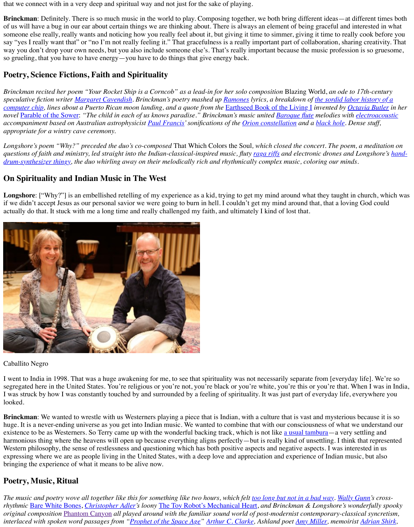that we connect with in a very deep and spiritual way and not just for the sake of playing.

**Brinckman**: Definitely. There is so much music in the world to play. Composing together, we both bring different ideas—at different times both of us will have a bug in our ear about certain things we are thinking about. There is always an element of being graceful and interested in what someone else really, really wants and noticing how you really feel about it, but giving it time to simmer, giving it time to really cook before you say "yes I really want that" or "no I'm not really feeling it." That gracefulness is a really important part of collaboration, sharing creativity. That way you don't drop your own needs, but you also include someone else's. That's really important because the music profession is so gruesome, so grueling, that you have to have energy—you have to do things that give energy back.

# **Poetry, Science Fictions, Faith and Spirituality**

*Brinckman recited her poem "Your Rocket Ship is a Corncob" as a lead-in for her solo composition* Blazing World, *an ode to 17th-century [speculative fiction writer Margaret Cavendish. Brinckman's poetry mashed up Ramones lyrics, a breakdown of the sordid labor history of a](https://www.theguardian.com/global-development/2016/jan/19/children-as-young-as-seven-mining-cobalt-for-use-in-smartphones-says-amnesty) computer chip, lines about a Puerto Rican moon landing, and a quote from the* [Earthseed Book of the Living I](https://godischange.org/the-book-of-the-living/) *invented by [Octavia Butler](https://en.wikipedia.org/wiki/Octavia_E._Butler) in her novel* [Parable of the Sower](https://www.biblegateway.com/passage/?search=Matthew+13&version=NIV): "The child in each of us knows paradise." Brinckman's music united **[Baroque flute](http://www.oldflutes.com/baroq.htm)** melodies with *electroacoustic accompaniment based on Australian astrophysicist [Paul Francis](https://www.edx.org/bio/paul-francis)' sonifications of the [Orion constellation](https://en.wikipedia.org/wiki/Orion_(constellation)) and a [black hole](https://en.wikipedia.org/wiki/Black_hole). Dense stuff, appropriate for a wintry cave ceremony.*

*Longshore's poem "Why?" preceded the duo's co-composed* That Which Colors the Soul*, which closed the concert. The poem, a meditation on [questions of faith and ministry, led straight into the Indian-classical-inspired music, fluty raga riffs and electronic drones and Longshore's hand](https://www.roland.com/us/products/handsonic_hpd-20/)drum-synthesizer thingy, the duo whirling away on their melodically rich and rhythmically complex music, coloring our minds.*

**Brinckman**: We wanted to wrestle with us Westerners playing a piece that is Indian, with a culture that is vast and mysterious because it is so huge. It is a never-ending universe as you get into Indian music. We wanted to combine that with our consciousness of what we understand our existence to be as Westerners. So Terry came up with the wonderful backing track, which is not like [a usual tambura](https://www.youtube.com/watch?v=6ig0q3-hg8E)—a very settling and harmonious thing where the heavens will open up because everything aligns perfectly—but is really kind of unsettling. I think that represented Western philosophy, the sense of restlessness and questioning which has both positive aspects and negative aspects. I was interested in us expressing where we are as people living in the United States, with a deep love and appreciation and experience of Indian music, but also bringing the experience of what it means to be alive now.

## **On Spirituality and Indian Music in The West**

*The music and poetry wove all together like this for something like two hours, which felt <u>too long but not in a bad way</u>. [Wally Gunn'](http://www.wallygunn.com/)s crossrhythmic* [Bare White Bones,](https://www.youtube.com/watch?v=GT5uwyNk-JM) *[Christopher Adler'](https://en.wikipedia.org/wiki/Christopher_Adler)s loony* [The Toy Robot's Mechanical Heart](https://vimeo.com/199201588), *and Brinckman & Longshore's wonderfully spooky original composition* [Phantom Canyon](https://soundcloud.com/tessa-brinckman/aiffconcert-phantomcanyon-april2018) *all played around with the familiar sound world of post-modernist contemporary-classical syncretism, interlaced with spoken word passages from ["Prophet of the Space Age"](https://www.smh.com.au/entertainment/prophet-of-the-space-age-20080320-gds5yt.html) [Arthur C. Clarke](https://en.wikipedia.org/wiki/Arthur_C._Clarke), Ashland poet [Amy Miller,](http://literaryashland.org/?p=1881) memoirist [Adrian Shirk,](https://www.adrianshirk.com/)*

**Longshore**: ["Why?"] is an embellished retelling of my experience as a kid, trying to get my mind around what they taught in church, which was if we didn't accept Jesus as our personal savior we were going to burn in hell. I couldn't get my mind around that, that a loving God could actually do that. It stuck with me a long time and really challenged my faith, and ultimately I kind of lost that.



#### Caballito Negro

I went to India in 1998. That was a huge awakening for me, to see that spirituality was not necessarily separate from [everyday life]. We're so segregated here in the United States. You're religious or you're not, you're black or you're white, you're this or you're that. When I was in India, I was struck by how I was constantly touched by and surrounded by a feeling of spirituality. It was just part of everyday life, everywhere you looked.

## **Poetry, Music, Ritual**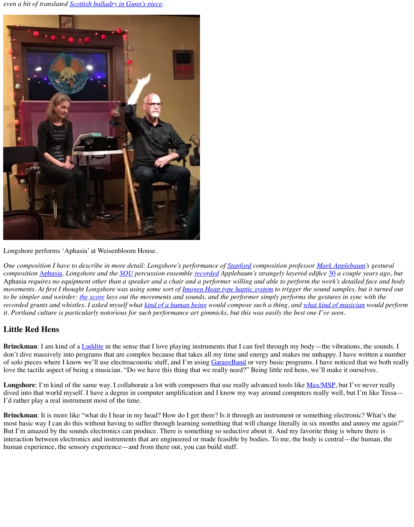*even a bit of translated [Scottish balladry in Gunn's piece.](http://www.wallygunn.com/music/barewhitebones/)*



Longshore performs 'Aphasia' at Weisenbloom House.

*One composition I have to describe in more detail: Longshore's performance of [Stanford](https://www.stanford.edu/) composition professor [Mark Applebaum](https://alumni.stanford.edu/get/page/magazine/article/?article_id=32414)'s gestural composition* [Aphasia](https://www.youtube.com/watch?v=wWt1qh67EnA)*. Longshore and the [SOU](https://sou.edu/) percussion ensemble [recorded](http://www.terrylongshore.com/2015/07/mark-applebaum-30/) Applebaum's strangely layered edifice* [30](https://www.youtube.com/watch?v=XRN0lScCnAQ) *a couple years ago, but* Aphasia *requires no equipment other than a speaker and a chair and a performer willing and able to perform the work's detailed face and body movements. At first I thought Longshore was using some sort of [Imogen Heap type haptic system](https://www.youtube.com/watch?v=7oeEQhOmGpg) to trigger the sound samples, but it turned out to be simpler and weirder: [the score](http://londontreatise.blogs.wesleyan.edu/files/2011/06/APPLEBAUM-Aphasia1.pdf) lays out the movements and sounds, and the performer simply performs the gestures in sync with the recorded grunts and whistles. I asked myself what [kind of a human being](https://news.stanford.edu/news/2012/february/applebaum-aphasia-music-020312.html) would compose such a thing, and [what kind of musician](https://www.youtube.com/watch?v=1IdohpFQGgg&t=2096s) would perform it. Portland culture is particularly notorious for such performance art gimmicks, but this was easily the best one I've seen.*

**Brinckman**: I am kind of a [Luddite](https://en.wikipedia.org/wiki/Luddite) in the sense that I love playing instruments that I can feel through my body—the vibrations, the sounds. I don't dive massively into programs that are complex because that takes all my time and energy and makes me unhappy. I have written a number of solo pieces where I know we'll use electroacoustic stuff, and I'm using [GarageBand](https://en.wikipedia.org/wiki/GarageBand) or very basic programs. I have noticed that we both really love the tactile aspect of being a musician. "Do we have this thing that we really need?" Being little red hens, we'll make it ourselves.

Longshore: I'm kind of the same way. I collaborate a lot with composers that use really advanced tools like [Max/MSP](https://en.wikipedia.org/wiki/Max_(software)), but I've never really dived into that world myself. I have a degree in computer amplification and I know my way around computers really well, but I'm like Tessa— I'd rather play a real instrument most of the time.

# **Little Red Hens**

**Brinckman**: It is more like "what do I hear in my head? How do I get there? Is it through an instrument or something electronic? What's the most basic way I can do this without having to suffer through learning something that will change literally in six months and annoy me again?" But I'm amazed by the sounds electronics can produce. There is something so seductive about it. And my favorite thing is where there is interaction between electronics and instruments that are engineered or made feasible by bodies. To me, the body is central—the human, the human experience, the sensory experience—and from there out, you can build stuff.